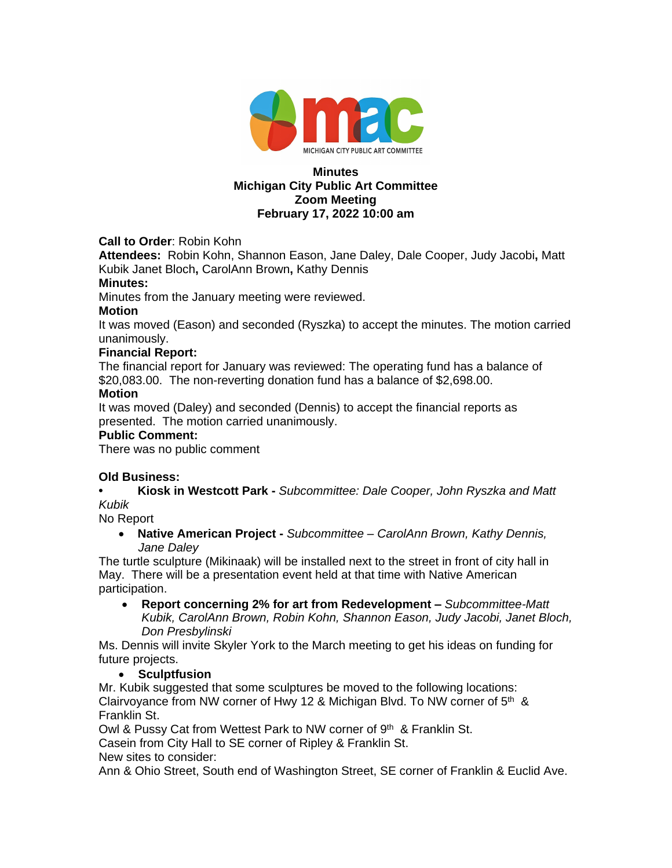

#### **Minutes Michigan City Public Art Committee Zoom Meeting February 17, 2022 10:00 am**

**Call to Order**: Robin Kohn

**Attendees:** Robin Kohn, Shannon Eason, Jane Daley, Dale Cooper, Judy Jacobi**,** Matt Kubik Janet Bloch**,** CarolAnn Brown**,** Kathy Dennis

#### **Minutes:**

Minutes from the January meeting were reviewed.

#### **Motion**

It was moved (Eason) and seconded (Ryszka) to accept the minutes. The motion carried unanimously.

# **Financial Report:**

The financial report for January was reviewed: The operating fund has a balance of \$20,083.00. The non-reverting donation fund has a balance of \$2,698.00.

### **Motion**

It was moved (Daley) and seconded (Dennis) to accept the financial reports as presented. The motion carried unanimously.

## **Public Comment:**

There was no public comment

# **Old Business:**

**• Kiosk in Westcott Park -** *Subcommittee: Dale Cooper, John Ryszka and Matt Kubik*

No Report

 **Native American Project -** *Subcommittee – CarolAnn Brown, Kathy Dennis, Jane Daley*

The turtle sculpture (Mikinaak) will be installed next to the street in front of city hall in May. There will be a presentation event held at that time with Native American participation.

 **Report concerning 2% for art from Redevelopment –** *Subcommittee-Matt Kubik, CarolAnn Brown, Robin Kohn, Shannon Eason, Judy Jacobi, Janet Bloch, Don Presbylinski*

Ms. Dennis will invite Skyler York to the March meeting to get his ideas on funding for future projects.

# **Sculptfusion**

Mr. Kubik suggested that some sculptures be moved to the following locations: Clairvoyance from NW corner of Hwy 12 & Michigan Blvd. To NW corner of  $5<sup>th</sup>$  & Franklin St.

Owl & Pussy Cat from Wettest Park to NW corner of 9<sup>th</sup> & Franklin St.

Casein from City Hall to SE corner of Ripley & Franklin St.

New sites to consider:

Ann & Ohio Street, South end of Washington Street, SE corner of Franklin & Euclid Ave.